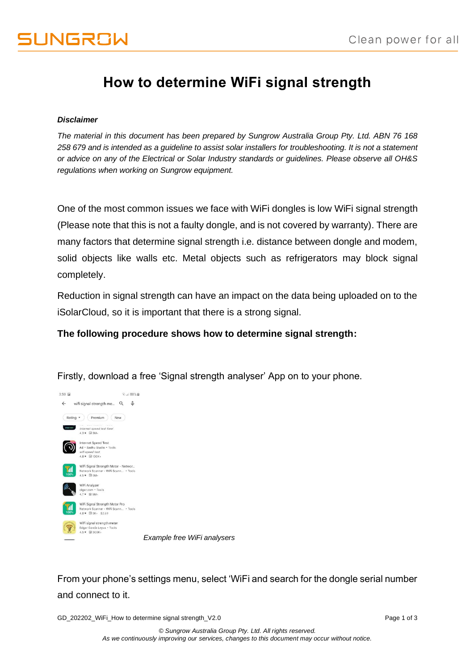## **How to determine WiFi signal strength**

## *Disclaimer*

*The material in this document has been prepared by Sungrow Australia Group Pty. Ltd. ABN 76 168 258 679 and is intended as a guideline to assist solar installers for troubleshooting. It is not a statement or advice on any of the Electrical or Solar Industry standards or guidelines. Please observe all OH&S regulations when working on Sungrow equipment.*

One of the most common issues we face with WiFi dongles is low WiFi signal strength (Please note that this is not a faulty dongle, and is not covered by warranty). There are many factors that determine signal strength i.e. distance between dongle and modem, solid objects like walls etc. Metal objects such as refrigerators may block signal completely.

Reduction in signal strength can have an impact on the data being uploaded on to the iSolarCloud, so it is important that there is a strong signal.

**The following procedure shows how to determine signal strength:**



Firstly, download a free 'Signal strength analyser' App on to your phone.

*Example free WiFi analysers*

From your phone's settings menu, select 'WiFi and search for the dongle serial number and connect to it.

GD\_202202\_WiFi\_How to determine signal strength\_V2.0 example of 3 and 202202\_WiFi\_How to determine signal strength\_V2.0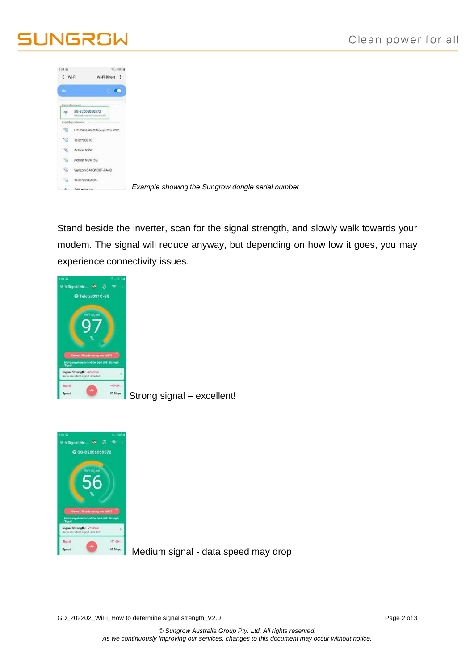## UNGROW

| 354.02                |                                                  | 市 00% R |
|-----------------------|--------------------------------------------------|---------|
| < Wi-Fi               | Wi-Fi Direct :                                   |         |
| <b>On</b>             |                                                  | o       |
|                       |                                                  |         |
|                       |                                                  |         |
| ÷                     | SG-B2006050572<br>retorned map mit be available. |         |
|                       | Available networks                               |         |
| R                     | HP-Print-46-Officejet Pro X57.                   |         |
| 气                     | Telstra081C                                      |         |
| 寪                     | Action NSW                                       |         |
|                       |                                                  |         |
| 噏                     | Action NSW 5G                                    |         |
| $\widehat{\gamma}$    | Verizon-SM-G930F-9A48                            |         |
| $\overline{\gamma}_0$ | Telstra29EAC5                                    |         |
|                       | Additional constructs.                           |         |

Stand beside the inverter, scan for the signal strength, and slowly walk towards your modem. The signal will reduce anyway, but depending on how low it goes, you may experience connectivity issues.



Strong signal – excellent!



Medium signal - data speed may drop